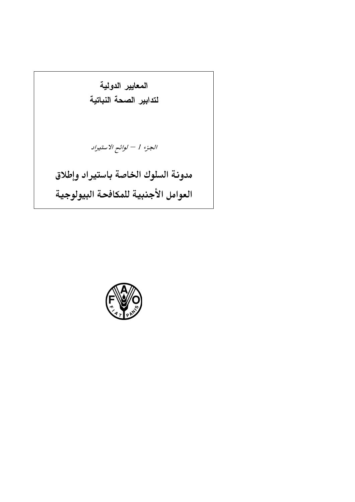المعايير الدولية لتدابير الصحة النباتية الجزء 1 $\ell-\nu$ وائح الاستيراد مدونة السلوك الخاصة باستيراد وإطلاق العوامل الأجنبية للمكافحة البيولوجية

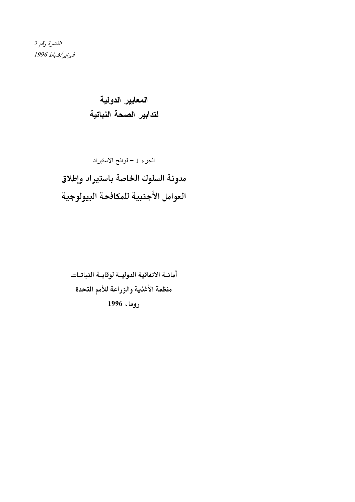النشرة رقم 3 فبراير/شباط 1996

> المعايير الدولية لتدابير الصحة النباتية

أمانــة الاتفاقية الدوليــة لوقايــة النباتــات منظمة الأغذية والزراعة للأمم المتحدة روما، 1996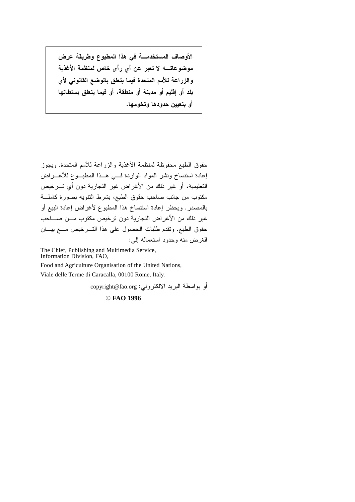الأوصاف المستخدمــــة في هذا المطبوع وطريقة عرض موضوعاتـــــه لا تعبر عن أي رأى خاص لمنظمة الأغذية والزراعة للأمم المتحدة فيما يتعلق بالوضع القانوني لأي بلد أو إقليم أو مدينة أو منطقة، أو فيما يتعلق بسلطاتها أو بتعيين حدودها وتخومها.

حقوق الطبع محفوظة لمنظمة الأغذية والزراعة للأمم المتحدة. ويجوز إعادة استنساخ ونشر المواد الواردة فسي هـذا المطبـوع للأغـــراض التعليمية، أو غير ذلك من الأغراض غير التجارية دون أي تـــرخيص مكتوب من جانب صاحب حقوق الطبع، بشرط النتويه بصورة كاملة بالمصدر . ويحظر إعادة استنساخ هذا المطبوع لأغراض إعادة البيع أو غير ذلك من الأغراض التجارية دون ترخيص مكتوب مــن صـــاحب حقوق الطبع. وتقدم طلبات الحصول على هذا التسرخيص مـع بيسان الغرض منه وحدود استعماله إلى:

The Chief, Publishing and Multimedia Service, Information Division, FAO,

Food and Agriculture Organisation of the United Nations,

Viale delle Terme di Caracalla, 00100 Rome, Italy.

أو بواسطة البريد الالكتروني: copyright@fao.org

© FAO 1996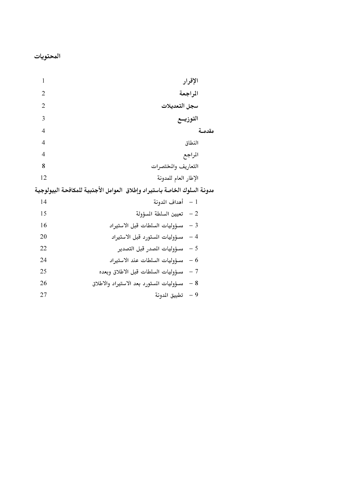| 1<br>الإقرار                                                             |        |
|--------------------------------------------------------------------------|--------|
| 2<br>المراجعة                                                            |        |
| 2<br>سجل التعديلات                                                       |        |
| 3<br>التوزيــع                                                           |        |
| $\overline{4}$                                                           | مقدمـة |
| 4<br>النطاق                                                              |        |
| 4<br>المراجع                                                             |        |
| 8<br>التعاريف والمختصرات                                                 |        |
| 12<br>الإطار العام للمدونة                                               |        |
| مدونة السلوك الخاصة باستيراد وإطلاق العوامل الأجنبية للمكافحة البيولوجية |        |
| 1 – أهداف المدونة<br>14                                                  |        |
| 15<br>تعيين السلطة المسؤولة $-2$                                         |        |
| 16<br>$-3$<br>مسؤوليات السلطات قبل الاستيراد                             |        |
| $-4$<br>20<br>مسؤوليات المستورد قبل الاستيراد                            |        |
| 22<br>$-5$<br>مسؤوليات المدر قبل التصدير                                 |        |
| $-6$<br>24<br>مسؤوليات السلطات عند الاستيراد                             |        |
| 25<br>مسؤوليات السلطات قبل الاطلاق وبعده<br>$-7$                         |        |
| 26<br>$-8$<br>مسؤوليات المستورد بعد الاستيراد والاطلاق                   |        |
| 27<br>$-9$<br>تطبيق الدونة                                               |        |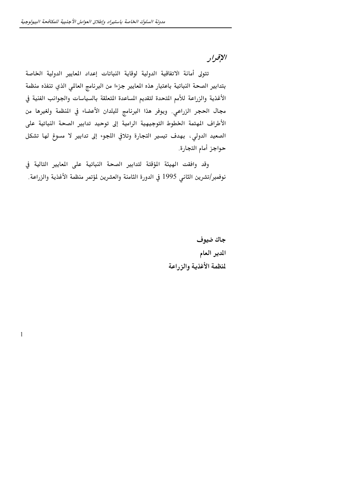$\mathbf{1}$ 

# الإقرار

تتولى أمانة الاتفاقية الدولية لوقاية النباتات إعداد المعايير الدولية الخاصة بتدابير الصحة النباتية باعتبار هذه المعايير جزءا من البرنامج العالمي الذي تنفذه منظمة الأغذية والزراعة للأمم المتحدة لتقديم المساعدة المتعلقة بالسياسات والجوانب الفنية في مجال الحجر الزراعي. ويوفر هذا البرنامج للبلدان الأعضاء في المنظمة ولغيرها من الأطراف المتمة الخطوط التوجيهية الرامية إلى توحيد تدابير الصحة النباتية على الصعيد الدولي، بهدف تيسير التجارة وتلافي اللجوء إلى تدابير لا مسوغ لها تشكل حواجز أمام التجارة.

وقد وافقت الهيئة المؤقتة لتدابير الصحة النباتية على المعايير التالية في نوفمبر/تشرين الثاني 1995 في الدورة الثامنة والعشرين لمؤتمر منظمة الأغذية والزراعة.

> جاك ضيوف المدير العام لمنظمة الأغذية والزراعة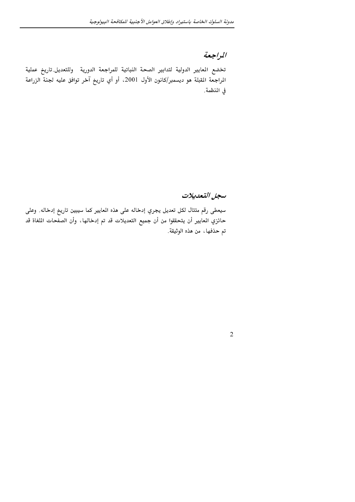## المراجعة

تخضع المايير الدولية لتدابير الصحة النباتية للمراجعة الدورية وللتعديل تاريخ عملية الراجعة القبلة هو ديسمبر/كانون الأول 2001، أو أي تاريخ آخر توافق عليه لجنة الزراعة في المنظمة.

### سجل التعديلات

 $\overline{2}$ 

سيعطي رقم متتال لكل تعديل يجري إدخاله على هذه المايير كما سيبين تاريخ إدخاله. وعلى حائزي المعايير أن يتحققوا من أن جميع التعديلات قد تم إدخالها، وأن الصفَّحات الملغاة قد تم حذفها، من هذه الوثيقة.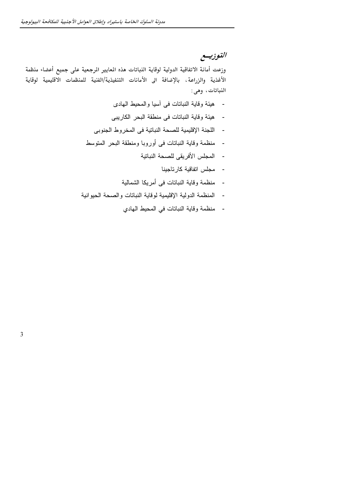$\overline{3}$ 

## التوزييع

وزعت أمانة الاتفاقية الدولية لوقاية النباتات هذه المايير الرجعية على جميع أعضاء منظمة الأغذية والزراعة، بالإضافة الى الأمانات التنفيذية/الفنية للمنظمات الاقليمية لوقاية النباتات، وهي:

- هيئة وقاية النباتات في أسيا والمحيط الهادي
- هيئة وقاية النباتات في منطقة البحر الكاريبي
- اللجنة الإقليمية للصحة النباتية في المخروط الجنوبي
- منظمة وقاية النباتات في أوروبا ومنطقة البحر المتوسط
	- المجلس الأفريقي للصحة النباتية
		- مجلس اتفاقية كارتاجينا
	- منظمة وقاية النباتات في أمريكا الشمالية
- المنظمة الدولية الإقليمية لوقاية النباتات والصحة الحيوانية
	- منظمة وقاية النباتات في المحيط الهادي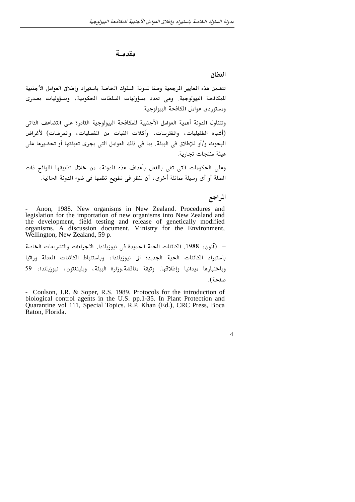#### مقدمـة

#### النطاق

تتضمن هذه المعايير المرجعية وصفا لمدونة السلوك الخاصة باستيراد وإطلاق العوامل الأجنبية للمكافحة البيولوجية. وهي تعدد مسؤوليات السلطات الحكومية، ومسؤوليات مصدري ومستوردي عوامل المكافحة البيولوجية.

وتتناول المدونة أهمية العوامل الأجنبية للمكافحة البيولوجية القادرة على التضاعف الذاتي (أشباه الطفيليات، والمفترسات، وآكلات النبات من المفصليات، والمرضات) لأغراض البحوث و/أو للإطلاق في البيئة. بما في ذلك العوامل التي يجرى تعبئتها أو تحضيرها على هيئة منتجات تجارية.

وعلى الحكومات التي تفى بالفعل بأهداف هذه الدونة، من خلال تطبيقها اللوائح ذات الصلة أو أي وسيلة مماثلة أخرى، أن تنظر في تطويع نظمها في ضوء الدونة الحالية.

#### المراجع

Anon, 1988. New organisms in New Zealand. Procedures and legislation for the importation of new organisms into New Zealand and the development, field testing and release of genetically modified organisms. A discussion document. Ministry for the Environment, Wellington, New Zealand, 59 p.

– (آنون، 1988. الكائنات الحية الجديدة في نيوزيلندا. الاجراءات والتشريعات الخاصة باستيراد الكائنات الحية الجديدة الى نيوزيلندا، وباستنباط الكائنات المعدلة وراثيا وباختبارها ميدانيا وإطلاقها. وثيقة مناقشة.وزارة البيئة، ويلينغتون، نيوزيلندا، 59 صفحة).

- Coulson, J.R. & Soper, R.S. 1989. Protocols for the introduction of biological control agents in the U.S. pp.1-35. In Plant Protection and Quarantine vol 111, Special Topics. R.P. Khan (Ed.), CRC Press, Boca Raton, Florida.

#### $\overline{4}$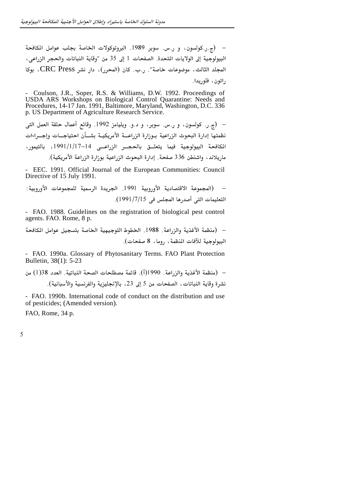– (ج.ر.كولسون، و ر.س. سوبر 1989. البروتوكولات الخاصة بجلب عوامل المكافحة البيولوجية إلى الولايات المتحدة. الصفحات 1 إلى 35 من "وقاية النباتات والحجر الزراعي، المجلد الثالث، موضوعات خاصة". ..ب. كان (المحرر)، دار نشر CRC Press، بوكا راتون، فلوريدا.

Coulson, J.R., Soper, R.S. & Williams, D.W. 1992. Proceedings of USDA ARS Workshops on Biological Control Quarantine: Needs and Procedures, 14-17 Jan. 1991, Baltimore, Maryland, Washington, D.C. 336 p. US Department of Agriculture Research Service.

– (ج.ر. كولسون، و ر.س. سوبر، و د.و. ويليامز 1992. وقائع أعمال حلقة العمل التي نظمتها إدارة البحوث الزراعية ببوزارة الزراعسة الأمريكيسة بشسأن احتياجسات وإجبراءات المكافحة البيولوجية فيما يتعلــق بالحجــر الزراعــي 14–1/1/17 ، بالتيمور، ماريلاند، واشنطن 336 صفحة. إدارة البحوث الزراعية بوزارة الزراعة الأمريكية).

- EEC. 1991. Official Journal of the European Communities: Council Directive of 15 July 1991.

- FAO. 1988. Guidelines on the registration of biological pest control agents. FAO. Rome, 8 p.

– (منظمة الأغذية والزراعة. 1988. الخطوط التوجيهية الخاصة بتسجيل عوامل المكافحة البيولوجية للآفات المنظمة، روما، 8 صفحات).

- FAO. 1990a. Glossary of Phytosanitary Terms. FAO Plant Protection Bulletin, 38(1): 5-23

– (منظمة الأغذية والزراعة. 1990(أ). قائمة مصطلحات الصحة النباتية. العدد 38(1) من نشرة وقاية النباتات، الصفحات من 5 إلى 23، بالإنجليزية والفرنسية والأسبانية).

- FAO. 1990b. International code of conduct on the distribution and use of pesticides; (Amended version).

FAO, Rome, 34 p.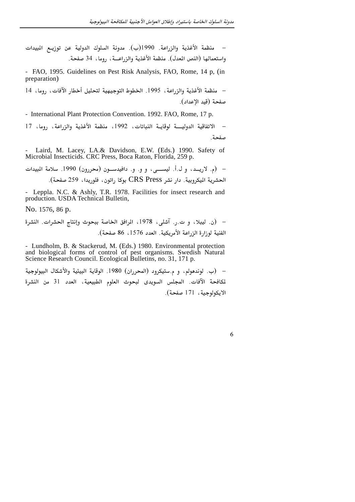– منظمة الأغذية والزراعة. 1990(ب). مدونة السلوك الدولية عن توزيـع المبيدات واستعمالها (النص المعدل). منظمة الأغذية والزراعــة، روما، 34 صفحة.

- FAO, 1995. Guidelines on Pest Risk Analysis, FAO, Rome, 14 p, (in preparation)

– منظمة الأغذية والزراعة، 1995. الخطوط التوجيهية لتحليل أخطار الآفات، روما، 14 صفحة (قيد الإعداد).

- International Plant Protection Convention. 1992. FAO, Rome, 17 p.

– الاتفاقية الدوليــــة لوقايــة النباتات، 1992، منظمة الأغذية والزراعة، روما، 17 صفحة

Laird, M. Lacey, LA.& Davidson, E.W. (Eds.) 1990. Safety of Microbial Insecticids. CRC Press, Boca Raton, Florida, 259 p.

– (م. لاريــد، و ل.أ. ليســـي، و و. و. دافيدســون (محررون) 1990. سلامة المبيدات الحشرية اليكروبية. دار نشر CRS Press بوكا راتون، فلوريدا، 259 صفحة).

- Leppla. N.C. & Ashly, T.R. 1978. Facilities for insect research and production. USDA Technical Bulletin,

No. 1576, 86 p.

- Lundholm, B. & Stackerud, M. (Eds.) 1980. Environmental protection and biological forms of control of pest organisms. Swedish Natural Science Research Council. Ecological Bulletins, no. 31, 171 p.

– (ب. لوندهولم، و م.ستيكرود (المحرران) 1980. الوقاية البيئية والأشكال البيولوجية لكافحة الآفات. المجلس السويدي لبحوث العلوم الطبيعية، العدد 31 من النشرة الابكولوجية، 171 صفحة).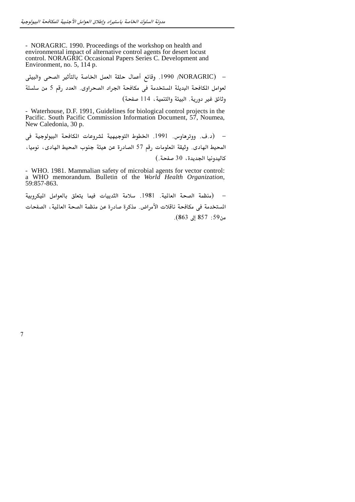- NORAGRIC. 1990. Proceedings of the workshop on health and environmental impact of alternative control agents for desert locust control. NORAGRIC Occasional Papers Series C. Development and Environment, no. 5, 114 p.

لعوامل المكافحة البديلة المستخدمة في مكافحة الجراد الصحراوي. العدد رقم 5 من سلسلة وثائق غير دورية. البيئة والتنمية، 114 صفحة)

- Waterhouse, D.F. 1991, Guidelines for biological control projects in the Pacific. South Pacific Commission Information Document, 57, Noumea, New Caledonia, 30 p.

– (د.ف. ووترهاوس. 1991. الخطوط التوجيهية لشروعات الكافحة البيولوجية في المحيط الهادى. وثيقة الملومات رقم 57 الصادرة عن هيئة جنوب المحيط الهادى، نوميا، كاليدونيا الجديدة، 30 صفحة.)

- WHO. 1981. Mammalian safety of microbial agents for vector control: a WHO memorandum. Bulletin of the World Health Organization, 59:857-863.

– (منظمة الصحة العالية. 1981. سلامة الثدييات فيما يتعلق بالعوامل الميكروبية المستخدمة في مكافحة ناقلات الأمراض. مذكرة صادرة عن منظمة الصحة العالية ، الصفحات من59: 857 إلى 863).

 $\overline{7}$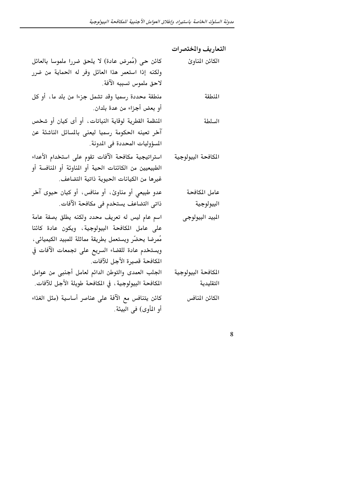|                                                        | التعاريف والختصرات |
|--------------------------------------------------------|--------------------|
| كائن حي (مُمرض عادة) لا يلحق ضررا ملموسا بالعائل       | الكائن المناوئ     |
| ولكنه إذا استعمر هذا العائل وفر له الحماية من ضرر      |                    |
| لاحق ملموس تسببه الآفة.                                |                    |
| منطقة محددة رسميا وقد تشمل جزءا من بلد ما ، أو كل      | المنطقة            |
| أو بعض أجزاء من عدة بلدان.                             |                    |
| المنظمة القطرية لوقاية النباتات، أو أى كيان أو شخص     | السلطة             |
| آخر تعينه الحكومة رسميا ليعنى بالمسائل الناشئة عن      |                    |
| المسؤوليات المحددة في المدونة.                         |                    |
| استراتيجية مكافحة الآفات تقوم على استخدام الأعداء      | الكافحة البيولوجية |
| الطبيعيين من الكائنات الحية أو المناوئة أو المنافسة أو |                    |
| غيرها من الكيانات الحيوية ذاتية التضاعف.               |                    |
| عدو طبیعی أو مناوئ، أو منافس، أو کیان حیوی آخر         | عامل المكافحة      |
| ذاتى التضاعف يستخدم فى مكافحة الآفات.                  | البيولوجية         |
| اسم عام ليس له تعريف محدد ولكنه يطلق بصفة عامة         | الميد البيولوجي    |
| على عامل المكافحة البيولوجية، ويكون عادة كائنا         |                    |
| مُمرضا يحضّر ويستعمل بطريقة مماثلة للمبيد الكيميائي،   |                    |
| ويستخدم عادة للقضاء السريع على تجمعات الآفات في        |                    |
| المكافحة قصيرة الأجل للآفات.                           |                    |
| الجلب العمدى والتوطن الدائم لعامل أجنبى من عوامل       | الكافحة البيولوجية |
| المكافحة البيولوجية ، في المكافحة طويلة الأجل للآفات.  | التقليدية          |
| كائن يتنافس مع الآفة على عناصر أساسية (مثل الغذاء      | الكائن المنافس     |
| أو المأوى) في البيئة.                                  |                    |

 $\overline{8}$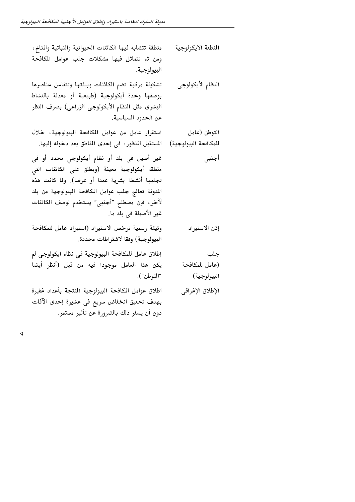$\overline{9}$ 

| منطقة تتشابه فيها الكائنات الحيوانية والنباتية والمناخ،                                                                                                                                                                                                                           | النطقة الايكولوجية                   |
|-----------------------------------------------------------------------------------------------------------------------------------------------------------------------------------------------------------------------------------------------------------------------------------|--------------------------------------|
| ومن ثم تتماثل فيها مشكلات جلب عوامل المكافحة<br>البيولوجية ِ                                                                                                                                                                                                                      |                                      |
| تشكيلة مركبة تضم الكائنات وبيئتها وتتفاعل عناصرها<br>بوصفها وحدة أيكولوجية (طبيعية أو معدلة بالنشاط<br>البشرى مثل النظام الأيكولوجى الزراعى) بصرف النظر<br>عن الحدود السياسية.                                                                                                    | النظام الأيكولوجى                    |
| استقرار عامل من عوامل المكافحة البيولوجية، خلال                                                                                                                                                                                                                                   | التوطن (عامل                         |
| المستقبل المنظور ، في إحدى المناطق بعد دخوله إليها.                                                                                                                                                                                                                               | للمكافحة البيولوجية)                 |
| غير أصيل في بلد أو نظام أيكولوجي محدد أو في<br>منطقة أيكولوجية معينة (ويطلق على الكائنات التى<br>تجلبها أنشطة بشرية عمدا أو عرضا). ولما كانت هذه<br>المدونة تعالج جلب عوامل المكافحة البيولوجية من بلد<br>لآخر ، فإن مصطلح "أجنبى" يستخدم لوصف الكائنات<br>غير الأصيلة في بلد ما. | أجنبي                                |
| وثيقة رسمية ترخص الاستيراد (استيراد عامل للمكافحة<br>البيولوجية) وفقا لاشتراطات محددة.                                                                                                                                                                                            | إذن الاستيراد                        |
| إطلاق عامل للمكافحة البيولوجية فى نظام ايكولوجى لم<br>يكن هذا العامل موجودا فيه من قبل (أنظر أيضا<br>"التوطن").                                                                                                                                                                   | جلب<br>(عامل للمكافحة<br>البيولوجية) |
| اطلاق عوامل المكافحة البيولوجية المنتجة بأعداد غفيرة<br>بهدف تحقيق انخفاض سريع فى عشيرة إحدى الآفات<br>دون أن يسفر ذلك بالضرورة عن تأثير مستمر.                                                                                                                                   | الإطلاق الإغراقي                     |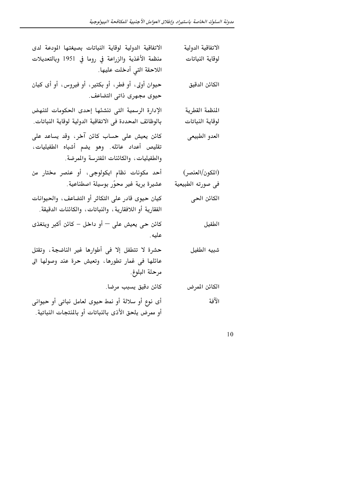| الاتفاقية الدولية لوقاية النباتات بصيغتها المودعة لدى                                                                                | الاتفاقية الدولية                    |
|--------------------------------------------------------------------------------------------------------------------------------------|--------------------------------------|
| منظمة الأغذية والزراعة في روما في 1951 وبالتعديلات<br>اللاحقة التي أدخلت عليها.                                                      | لوقاية النباتات                      |
| حيوان أولى، أو فطر، أو بكتير، أو فيروس، أو أى كيان<br>حيوى مجهرى ذاتى التضاعف.                                                       | الكائن الدقيق                        |
| الإدارة الرسمية التى تنشئها إحدى الحكومات لتنهض<br>بالوظائف المحددة فى الاتفاقية الدولية لوقاية النباتات.                            | المنظمة القطرية<br>لوقاية النباتات   |
| كائن يعيش على حساب كائن آخر، وقد يساعد على<br>تقليص أعداد عائله. وهو يضم أشباه الطفيليات،<br>والطفيليات، والكائنات المفترسة والمرضة. | العدو الطبيعى                        |
| أحد مكونات نظام ايكولوجى، أو عنصر مختار من<br>عشيرة برية غير محوّر بوسيلة اصطناعية.                                                  | (المكون/العنصر)<br>في صورته الطبيعية |
| كيان حيوى قادر على التكاثر أو التضاعف، والحيوانات<br>الفقارية أو اللافقارية ، والنباتات ، والكائنات الدقيقة.                         | الكائن الحى                          |
| كائن حى يعيش على — أو داخل – كائن أكبر ويتغذى<br>عليه.                                                                               | الطفيل                               |
| حشرة لا تتطفل إلا في أطوارها غير الناضجة، وتقتل<br>عائلها فى غمار تطورها، وتعيش حرة عند وصولها الى<br>مرحلة البلوغ.                  | شبيه الطفيل                          |
| كائن دقيق يسبب مرضا.                                                                                                                 | الكائن المرض                         |
| أى نوع أو سلالة أو نمط حيوى لعامل نباتى أو حيوانى<br>أو ممرض يلحق الأذى بالنباتات أو بالمنتجات النباتية.                             | الآفة                                |

 $10\,$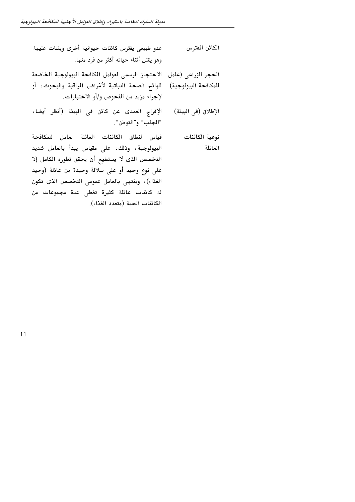| عدو طبيعي يفترس كائنات حيوانية أخرى ويقتات عليها.                                           | الكائن المفترس       |
|---------------------------------------------------------------------------------------------|----------------------|
| وهو يقتل أثناء حياته أكثر من فرد منها.                                                      |                      |
| الاحتجاز الرسمى لعوامل المكافحة البيولوجية الخاضعة                                          | الحجر الزراعي (عامل  |
| للوائح الصحة النباتية لأغراض المراقبة والبحوث، أو<br>لإجراء مزيد من الفحوص و/أو الاختبارات. | للمكافحة البيولوجية) |
| الإفراج العمدى عن كائن في البيئة (أنظر أيضا،<br>"الجلب" و"التوطن".                          | الإطلاق (في البيئة)  |
| قياس لنطاق الكائنات العائلة لعامل للمكافحة                                                  | نوعية الكائنات       |
| البيولوجية، وذلك، على مقياس يبدأ بالعامل شديد                                               | العائلة              |
| التخصص الذى لا يستطيع أن يحقق تطوره الكامل إلا                                              |                      |
| على نوع وحيد أو على سلالة وحيدة من عائلة (وحيد                                              |                      |
| الغذاء)، وينتهي بالعامل عمومي التخصص الذى تكون                                              |                      |
| له كائنات عائلة كثيرة تغطى عدة مجموعات من                                                   |                      |
| الكائنات الحية (متعدد الغذاء).                                                              |                      |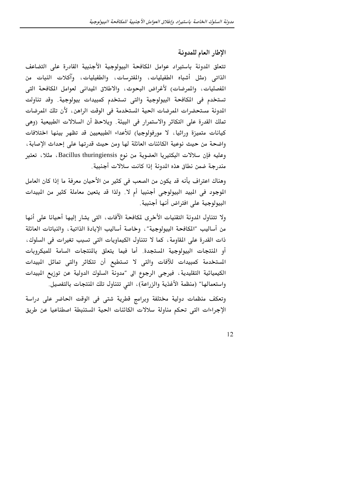الإطار العام للمدونة

تتعلق المدونة باستيراد عوامل المكافحة البيولوجية الأجنبية القادرة على التضاعف الذاتي (مثل أشباه الطفيليات، والمفترسات، والطفيليات، وآكلات النبات من المفصليات، والمرضات) لأغراض البحوث، والاطلاق الميداني لعوامل المكافحة التي تستخدم في المكافحة البيولوجية والتي تستخدم كمبيدات بيولوجية. وقد تناولت المدونة مستحضرات المرضات الحية المستخدمة في الوقت الراهن، لأن تلك المرضات تملك القدرة على التكاثر والاستمرار في البيئة. ويلاحظ أن السلالات الطبيعية (وهي كيانات متميزة وراثيا، لا مورفولوجيا) للأعداء الطبيعيين قد تظهر بينها اختلافات واضحة من حيث نوعية الكائنات العائلة لها ومن حيث قدرتها على إحداث الإصابة، وعليه فإن سلالات البكتيريا العضوية من نوع Bacillus thuringiensis، مثلا، تعتبر مندرجة ضمن نطاق هذه المدونة إذا كانت سلالات أجنبية.

وهناك اعتراف بأنه قد يكون من الصعب في كثير من الأحيان معرفة ما إذا كان العامل الموجود في المبيد البيولوجي أجنبيا أم لا. ولذا قد يتعين معاملة كثير من المبيدات البيولوجية على افتراض أنها أجنبية.

ولا تتناول المدونة التقنيات الأخرى لمكافحة الآفات، التي يشار إليها أحيانا على أنها من أساليب ″المكافحة البيولوجية″ ، وخاصة أساليب الإبادة الذاتية ، والنباتات العائلة ذات القدرة على المقاومة ، كما لا تتناول الكيماويات التي تسبب تغيرات في السلوك ، أو المنتجات البيولوجية المستجدة. أما فيما يتعلق بالمنتجات السامة للميكروبات المستخدمة كمبيدات للآفات والتى لا تستطيع أن تتكاثر والتى تماثل المبيدات الكيميائية التقليدية ، فيرجى الرجوع الى "مدونة السلوك الدولية عن توزيع المبيدات واستعمالها" (منظمة الأغذية والزراعة)، التي تتناول تلك المنتجات بالتفصيل.

وتعكف منظمات دولية مختلفة وبرامج قطرية شتى فى الوقت الحاضر على دراسة الإجراءات التي تحكم مناولة سلالات الكائنات الحية المستنبطة اصطناعيا عن طريق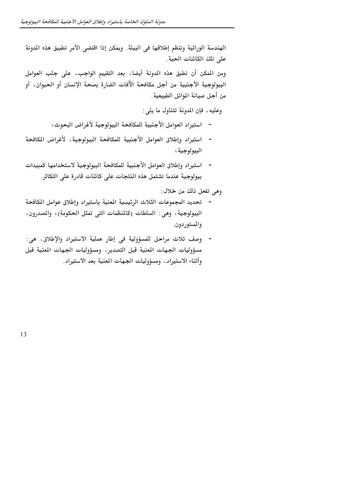الهندسة الوراثية وتنظم إطلاقها في البيئة. ويمكن إذا اقتضى الأمر تطبيق هذه المدونة على تلك الكائنات الحية.

ومن المكن أن تطبق هذه المدونة أيضا، بعد التقييم الواجب، على جلب العوامل البيولوجية الأجنبية من أجل مكافحة الآفات الضارة بصحة الإنسان أو الحيوان، أو من أجل صيانة الموائل الطبيعية.

وعليه، فإن المدونة تتناول ما يلي:

- استيراد العوامل الأجنبية للمكافحة البيولوجية لأغراض البحوث؛
- استيراد وإطلاق العوامل الأجنبية للمكافحة البيولوجية، لأغراض المكافحة البيولوجية ؛
- استيراد وإطلاق العوامل الأجنبية للمكافحة البيولوجية لاستخدامها كمبيدات بيولوجية عندما تشتمل هذه المنتجات على كائنات قادرة على التكاثر.

وهي تفعل ذلك من خلال :

- تحديد المجموعات الثلاث الرئيسية المنية باستيراد وإطلاق عوامل المكافحة البيولوجية ، وهي : السلطات (كالمنظمات التي تمثل الحكومة) ؛ والمدرون ، والمستوردون.
- وصف ثلاث مراحل للمسؤولية في إطار عملية الاستيراد والإطلاق، هي: مسؤوليات الجهات المنية قبل التصدير ،ومسؤوليات الجهات المنية قبل وأثناء الاستيراد، ومسؤوليات الجهات المنية بعد الاستيراد.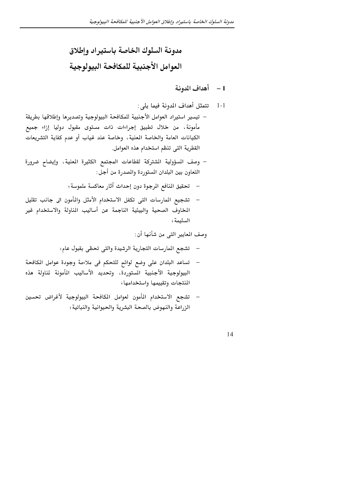مدونة السلوك الخاصة باستيراد وإطلاق العوامل الأجنبية للمكافحة البيولوجية

# مدونة السلوك الخاصة باستيراد وإطلاق العوامل الأجنبية للمكافحة البيولوجية

### 1 – أهداف المدونة

- تتمثل أهداف المدونة فيما يلي:  $-1-1$
- تيسير استيراد العوامل الأجنبية للمكافحة البيولوجية وتصديرها وإطلاقها بطريقة مأمونة، من خلال تطبيق إجراءات ذات مستوى مقبول دوليا إزاء جميع الكيانات العامة والخاصة المنية، وخاصة عند غياب أو عدم كفاية التشريعات القطرية التي تنظم استخدام هذه العوامل.
- وصف المسؤولية الشتركة لقطاعات المجتمع الكثيرة المنية، وإيضاح ضرورة التعاون بين البلدان المستوردة والمصدرة من أجل:
	- تحقيق المنافع المرجوة دون إحداث آثار معاكسة ملموسة؛
- تشجيع المارسات التي تكفل الاستخدام الأمثل والمأمون الى جانب تقليل  $\overline{\phantom{a}}$ المخاوف الصحية والبيئية الناجمة عن أساليب المناولة والاستخدام غير السليمة؛

وصف المعايير التي من شأنها أن:

- –۔ تشجع المارسات التجارية الرشيدة والتي تحظي بقبول عام؛
- –۔ تساعد البلدان على وضع لوائح للتحكم فى ملاءمة وجودة عوامل المكافحة البيولوجية الأجنبية الستوردة، وتحديد الأساليب المأمونة لمناولة هذه المنتجات وتقييمها واستخدامها و
- تشجع الاستخدام المأمون لعوامل المكافحة البيولوجية لأغراض تحسين الزراعة والنهوض بالصحة البشرية والحيوانية والنباتية؛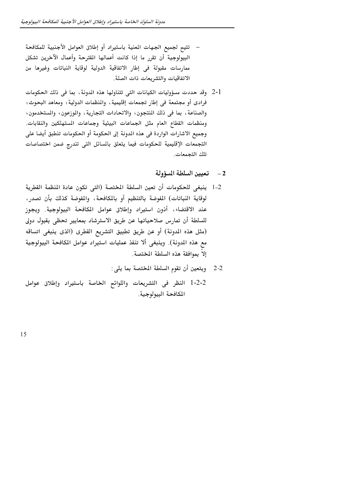- تتيح لجميع الجهات المنية باستيراد أو إطلاق العوامل الأجنبية للمكافحة البيولوجية أن تقرر ما إذا كانت أعمالها المقترحة وأعمال الآخرين تشكل ممارسات مقبولة في إطار الاتفاقية الدولية لوقاية النباتات وغيرها من الاتفاقيات والتشريعات ذات الصلة.
- 2-1٪ وقد حددت مسؤوليات الكيانات التي تتناولها هذه الدونة، بما في ذلك الحكومات فرادى أو مجتمعة في إطار تجمعات إقليمية، والمنظمات الدولية؛ ومعاهد البحوث؛ والصناعة، بما في ذلك المنتجون؛ والاتحادات التجارية، والموزعون؛ والمستخدمون؛ ومنظمات القطاع العام مثل الجماعات البيئية وجماعات المستهلكين والنقابات. وجميع الاشارات الواردة في هذه الدونة إلى الحكومة أو الحكومات تنطبق أيضا على التجمعات الإقليمية للحكومات فيما يتعلق بالسائل التى تندرج ضمن اختصاصات تلك التحمعات.
	- 2 تعيين السلطة المسؤولة
- 1-2 ينبغي للحكومات أن تعين السلطة المختصة (التي تكون عادة المنظمة القطرية لوقاية النباتات) المفوضة بالتنظيم أو بالمكافحة، والمفوضة كذلك بأن تصدر، عند الاقتضاء، أذون استيراد وإطلاق عوامل المكافحة البيولوجية. ويجوز للسلطة أن تمارس صلاحياتها عن طريق الاسترشاد بمعايير تحظى بقبول دولي (مثل هذه المدونة) أو عن طريق تطبيق التشريع القطرى (الذي ينبغي اتساقه مع هذه الدونة). وينبغي ألا تنفذ عمليات استيراد عوامل المكافحة البيولوجية إلاّ بموافقة هذه السلطة المختصة.
	- 2-2 ويتعين أن تقوم السلطة المختصة بما يلي:
- 2-2-1 النظر فى التشريعات واللوائح الخاصة باستيراد وإطلاق عوامل المكافحة البيولوجية.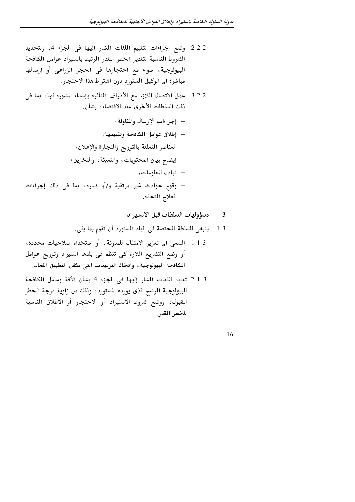- 2-2-2٪ وضع إجراءات لتقييم الملفات المشار إليها في الجزء 4، ولتحديد الشروط المناسبة لتقدير الخطر المقدر المرتبط باستيراد عوامل المكافحة البيولوجية، سواء مع احتجازها في الحجر الزراعي أو إرسالها مباشرة الى الوكيل المستورد دون اشتراط هذا الاحتجاز.
- 2-2-3٪ عمل الاتصال اللازم مع الأطراف المتأثرة وإسداء الشورة لها، بما في ذلك السلطات الأخرى عند الاقتضاء، بشأن :
	- إجراءات الإرسال والمناولة؛
	- إطلاق عوامل المكافحة وتقييمها ؛
	- العناصر المتعلقة بالتوزيع والتجارة والإعلان؛
	- إيضاح بيان المحتويات، والتعبئة، والتخزين؛
		- تبادل المعلومات؛
- وقوع حوادث غير مرتقبة و/أو ضارة، بما في ذلك إجراءات العلاج المتخذة.
	- 3 مسؤوليات السلطات قبل الاستيراد
	- ينبغي للسلطة المختصة في البلد المستورد أن تقوم بما يلي:  $1-3$
- 1-1-3 السعى الى تعزيز الامتثال للمدونة، أو استخدام صلاحيات محددة، أو وضع التشريع اللازم كى تنظم فى بلدها استيراد وتوزيع عوامل المكافحة البيولوجية، واتخاذ الترتيبات التي تكفل التطبيق الفعال.
- 3-1-2 تقييم الملفات المشار إليها في الجزء 4 بشأن الآفة وعامل المكافحة البيولوجية المرشح الذى يورده المستورد، وذلك من زاوية درجة الخطر المقبول، ووضع شروط الاستيراد أو الاحتجاز أو الاطلاق المناسبة للخطر المقدر.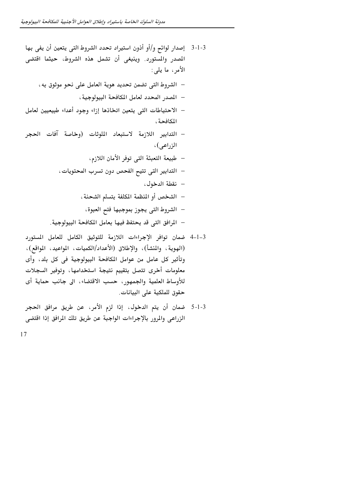- 3-1-3 ٪ إصدار لوائح و/أو أذون استيراد تحدد الشروط التي يتعين أن يفي بها المصدر والمستورد. وينبغي أن تشمل هذه الشروط، حيثما اقتضى الأمر ، ما يلي:
	- الشروط التي تضمن تحديد هوية العامل على نحو موثوق به،
		- المصدر المحدد لعامل المكافحة البيولوجية ،
- الاحتياطات التي يتعين اتخاذها إزاء وجود أعداء طبيعيين لعامل المكافحة ،
- التدابير اللازمة لاستبعاد الملوثات (وخاصة آفات الحجر الزراعي)،
	- طبيعة التعبئة التي توفر الأمان اللازم،
	- التدابير التي تتيح الفحص دون تسرب المحتويات،
		- نقطة الدخول،
		- الشخص أو المنظمة المكلفة بتسلم الشحنة ،
			- الشروط التي يجوز بموجبها فتح العبوة،
	- المرافق التي قد يحتفظ فيها بعامل المكافحة البيولوجية.
- 3–1–4 ضمان توافر الإجراءات اللازمة للتوثيق الكامل للعامل المستورد (الهوية، والمنشأ)، والإطلاق (الأعداد/الكميات، المواعيد، المواقع)، وتأثير كل عامل من عوامل المكافحة البيولوجية في كل بلد، وأي معلومات أخرى تتصل بتقييم نتيجة استخدامها، وتوفير السجلات للأوساط العلمية والجمهور، حسب الاقتضاء، الى جانب حماية أي حقوق للملكية على البيانات.
- 3-1-5 ضمان أن يتم الدخول، إذا لزم الأمر، عن طريق مرافق الحجر الزراعي والمرور بالإجراءات الواجبة عن طريق تلك المرافق إذا اقتضى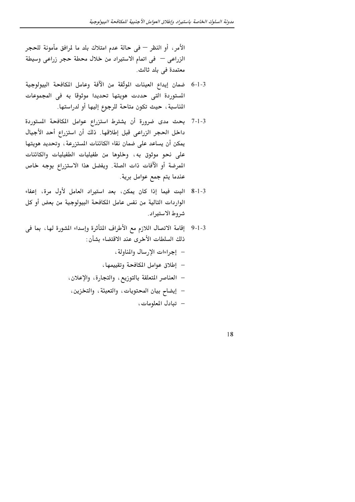الأمر ، أو النظر — في حالة عدم امتلاك بلد ما لمرافق مأمونة للحجر الزراعي – في اتمام الاستيراد من خلال محطة حجر زراعي وسيطة معتمدة في بلد ثالث.

- 3-ا-6 ضمان إيداع العينات الموثّقة من الآفة وعامل المكافحة البيولوجية المستوردة التي حددت هويتها تحديدا موثوقا به في المجموعات المناسبة ، حيث تكون متاحة للرجوع إليها أو لدراستها.
- 3-1-7 بحث مدى ضرورة أن يشترط استزراع عوامل المكافحة المستوردة داخل الحجر الزراعي قبل إطلاقها. ذلك أن استزراع أحد الأجيال يمكن أن يساعد على ضمان نقاء الكائنات المستزرعة ، وتحديد هويتها على نحو موثوق به، وخلوها من طفيليات الطفيليات والكائنات المرضة أو الآفات ذات الصلة. ويفضل هذا الاستزراع بوجه خاص عندما يتم جمع عوامل برية.
- 3-1-8 البت فيما إذا كان يمكن، بعد استيراد العامل لأول مرة، إعفاء الواردات التالية من نفس عامل المكافحة البيولوجية من بعض أو كل شروط الاستيراد.
- 3-1-9٪ إقامة الاتصال اللازم مع الأطراف المتأثرة وإسداء الشورة لها ، بما في ذلك السلطات الأخرى عند الاقتضاء بشأن:
	- إجراءات الإرسال والمناولة،
	- إطلاق عوامل المكافحة وتقييمها ،
	- العناصر المتعلقة بالتوزيع، والتجارة، والإعلان،
	- إيضاح بيان المحتويات، والتعبئة، والتخزين،
		- تبادل المعلومات،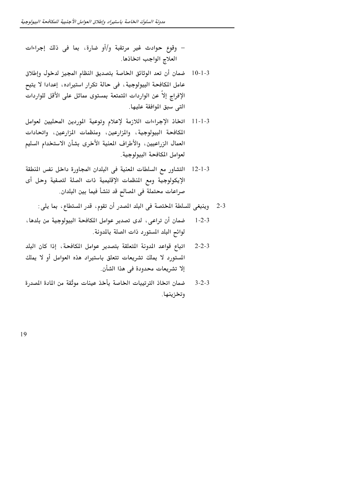– وقوع حوادث غير مرتقبة و/أو ضارة، بما في ذلك إجراءات العلاج الواجب اتخاذها.

- ضمان أن تعد الوثائق الخاصة بتصديق النظام المجيز لدخول وإطلاق  $10 - 1 - 3$ عامل المكافحة البيولوجية ، في حالة تكرار استيراده ، إعدادا لا يتيح الإفراج إلاّ عن الواردات المتمتعة بمستوى مماثل على الأقل للواردات التي سبق الموافقة عليها.
- اتخاذ الإجراءات اللازمة لإعلام وتوعية الموردين المحليين لعوامل  $11 - 1 - 3$ المكافحة البيولوجية، والمزارعين، ومنظمات المزارعين، واتحادات العمال الزراعيين، والأطراف المعنية الأخرى بشأن الاستخدام السليم لعوامل المكافحة البيولوجية.
- التشاور مع السلطات المعنية في البلدان المجاورة داخل نفس المنطقة  $12 - 1 - 3$ الإيكولوجية ومع المنظمات الإقليمية ذات الصلة لتصفية وحل أى صراعات محتملة في المصالح قد تنشأ فيما بين البلدان.
	- 2-3 وينبغي للسلطة المختصة في البلد المصدر أن تقوم، قدر المستطاع، بما يلي:
- ضمان أن تراعى، لدى تصدير عوامل المكافحة البيولوجية من بلدها،  $1 - 2 - 3$ لوائح البلد المستورد ذات الصلة بالمدونة.
- اتباع قواعد المدونة المتعلقة بتصدير عوامل المكافحة، إذا كان البلد  $2 - 2 - 3$ المستورد لا يملك تشريعات تتعلق باستيراد هذه العوامل أو لا يملك إلا تشريعات محدودة في هذا الشأن.
- ضمان اتخاذ الترتيبات الخاصة بأخذ عينات موثّقة من المادة المصدرة  $3 - 2 - 3$ وتخزينها.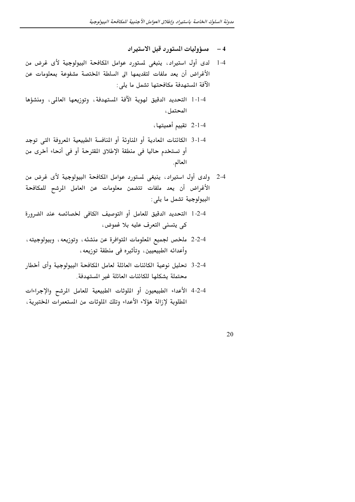- 4 مسؤوليات المستورد قبل الاستيراد
- 1-4 لدى أول استيراد، ينبغي لمستورد عوامل المكافحة البيولوجية لأى غرض من الأغراض أن يعد ملفات لتقديمها الى السلطة المختصة مشفوعة بمعلومات عن الآفة المستهدفة مكافحتها تشمل ما يلي:
- 1-1-4 التحديد الدقيق لهوية الآفة المستهدفة، وتوزيعها العالمي، ومنشؤها المحتمل،

4-1-2 تقييم أهميتها،

- 4-1-3 الكائنات المعادية أو المناوئة أو المنافسة الطبيعية المعروفة التي توجد أو تستخدم حاليا في منطقة الإطلاق المقترحة أو في أنحاء أخرى من العالم.
- 2-4٪ ولدى أول استيراد ، ينبغي لمستورد عوامل المكافحة البيولوجية لأى غرض من الأغراض أن يعد ملفات تتضمن معلومات عن العامل المرشح للمكافحة البيولوجية تشمل ما يلي:
- 4-2-1 التحديد الدقيق للعامل أو التوصيف الكافي لخصائصه عند الضرورة كي يتسنى التعرف عليه بلا غموض،
- 2-4-2 ملخص لجميع الملومات التوافرة عن منشئه، وتوزيعه، وبيولوجيته، وأعدائه الطبيعيين، وتأثيره في منطقة توزيعه،
- 4-2-3 تحليل نوعية الكائنات العائلة لعامل المكافحة البيولوجية وأى أخطار محتملة يشكلها للكائنات العائلة غير المستهدفة.
- 4-2-4 الأعداء الطبيعيون أو الملوثات الطبيعية للعامل المرشح والإجراءات المطلوبة لإزالة هؤلاء الأعداء وتلك الملوثات من المستعمرات المختبرية ،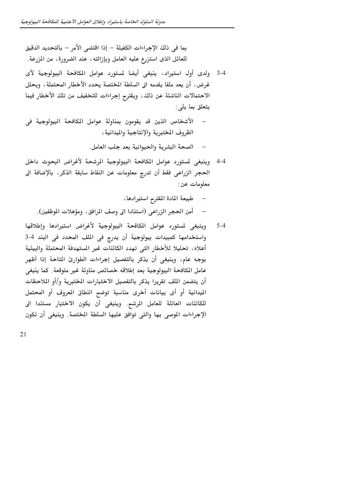بما في ذلك الإجراءات الكفيلة – إذا اقتضى الأمر – بالتحديد الدقيق للعائل الذي استزرع عليه العامل وبإزالته ، عند الضرورة، من المزرعة.

- 3-4 ولدى أول استيراد، ينبغي أيضا لمستورد عوامل المكافحة البيولوجية لأي غرض، أن يعد ملفا يقدمه الى السلطة المختصة يحدد الأخطار المحتملة، ويحلل الاحتمالات الناشئة عن ذلك، ويقترح إجراءات للتخفيف من تلك الأخطار فيما يتعلق بما يلي:
- الأشخاص الذين قد يقومون بمناولة عوامل المكافحة البيولوجية في  $\overline{\phantom{0}}$ الظروف المختبرية والإنتاجية والمدانية ،
	- الصحة البشرية والحيوانية بعد جلب العامل.
- وينبغي لمستورد عوامل المكافحة البيولوجية المرشحة لأغراض البحوث داخل  $-4 - 4$ الحجر الزراعي فقط أن تدرج معلومات عن النقاط سابقة الذكر، بالإضافة الى معلومات عن :
	- طبيعة المادة المقترح استيرادها،
	- أمن الحجر الزراعي (استنادا الى وصف المرافق، ومؤهلات الموظفين).
- وينبغى لمستورد عوامل المكافحة البيولوجية لأغراض استيرادها وإطلاقها  $5-4$ واستخدامها كمبيدات بيولوجية أن يدرج في الملف المحدد في البند 4-3 أعلاه، تحليلا للأخطار التي تهدد الكائنات غير المستهدفة المحتملة والبيئية بوجه عام، وينبغي أن يذكر بالتفصيل إجراءات الطوارئ المتاحة إذا أظهر عامل المكافحة البيولوجية بعد إطلاقه خصائص مناوئة غير متوقعة. كما ينبغي أن يتضمن المك تقريرا يذكر بالتفصيل الاختبارات المختبرية و/أو الملاحظات الميدانية أو أي بيانات أخرى مناسبة توضح النطاق المروف أو المحتمل للكائنات العائلة للعامل المرشح. وينبغي أن يكون الاختبار مستندا الى الإجراءات الموصى بها والتي توافق عليها السلطة المختصة. وينبغي أن تكون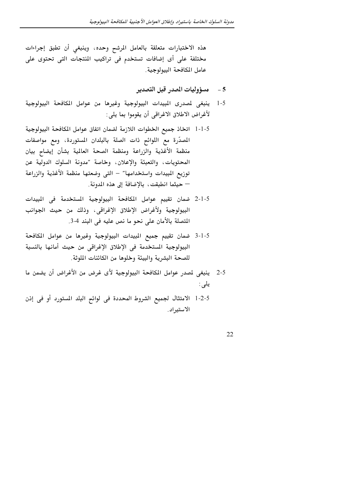هذه الاختبارات متعلقة بالعامل المرشح وحده، وينبغي أن تطبق إجراءات مختلفة على أى إضافات تستخدم فى تراكيب المنتجات التى تحتوى على عامل المكافحة البيولوجية.

- مسؤوليات المدر قبل التصدير  $-5$
- ينبغي لمصدري المبيدات البيولوجية وغيرها من عوامل المكافحة البيولوجية  $1 - 5$ لأغراض الاطلاق الاغراقي أن يقوموا بما يلي:
- المصدِّرة مع اللوائح ذات الصلة بالبلدان المستوردة، ومع مواصفات منظمة الأغذية والزراعة ومنظمة الصحة العالمية بشأن إيضاح بيان المحتويات، والتعبئة والإعلان، وخاصة ″مدونة السلوك الدولية عن توزيع البيدات واستخدامها" – التى وضعتها منظمة الأغذية والزراعة — حيثما انطبقت، بالإضافة إلى هذه المدونة.
- 5-1-2 ضمان تقييم عوامل المكافحة البيولوجية المستخدمة فى المبيدات البيولوجية ولأغراض الإطلاق الإغراقي، وذلك من حيث الجوانب المتصلة بالأمان على نحو ما نص عليه في البند 4-3.
- 5-1-3 ضمان تقييم جميع المبيدات البيولوجية وغيرها من عوامل المكافحة البيولوجية المستخدمة في الإطلاق الإغراقي من حيث أمانها بالنسبة للصحة البشرية والبيئة وخلوها من الكائنات الملوثة.
- 2-5 ينبغي لمصدر عوامل المكافحة البيولوجية لأى غرض من الأغراض أن يضمن ما يلي :
- 5-2-1 الامتثال لجميع الشروط المحددة في لوائح البلد المستورد أو في إذن الاستيراد.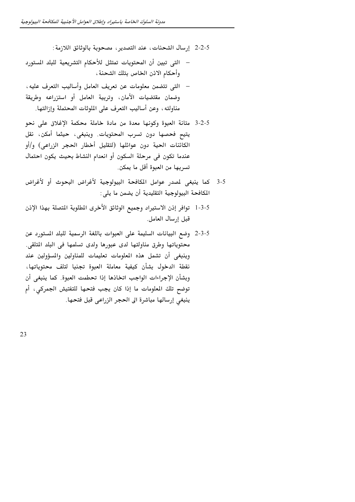5-2-2٪ إرسال الشحنات، عند التصدير ، مصحوبة بالوثائق اللازمة :

- التي تبين أن المحتويات تمتثل للأحكام التشريعية للبلد المستورد وأحكام الاذن الخاص بتلك الشحنة ،
- التي تتضمن معلومات عن تعريف العامل وأساليب التعرف عليه ، وضمان مقتضيات الأمان، وتربية العامل أو استزراعه وطريقة مناولته ، وعن أساليب التعرف على الملوثات المحتملة وإزالتها.
- 5-2-3 متانة العبوة وكونها معدة من مادة خاملة محكمة الإغلاق على نحو يتيح فحصها دون تسرب المحتويات. وينبغي، حيثما أمكن، نقل الكائنات الحية دون عوائلها (لتقليل أخطار الحجر الزراعي) و/أو عندما تكون في مرحلة السكون أو انعدام النشاط بحيث يكون احتمال تسربها من العبوة أقل ما يمكن.
- 3-5 كما ينبغي لمدر عوامل المكافحة البيولوجية لأغراض البحوث أو لأغراض المكافحة البيولوجية التقليدية أن يضمن ما يلي:
- 5-3-1- توافر إذن الاستيراد وجميع الوثائق الأخرى المطلوبة المتصلة بهذا الإذن قبل إرسال العامل.
- 5-3-3٪ وضع البيانات السليمة على العبوات باللغة الرسمية للبلد المستورد عن محتوياتها وطرق مناولتها لدى عبورها ولدى تسلمها في البلد المتلقى. وينبغي أن تشمل هذه الملومات تعليمات للمناولين والمسؤولين عند نقطة الدخول بشأن كيفية معاملة العبوة تجنبا لتلف محتوياتها، وبشأن الإجراءات الواجب اتخاذها إذا تحطمت العبوة. كما ينبغي أن توضح تلك المعلومات ما إذا كان يجب فتحها للتفتيش الجمركي، أم ينبغي إرسالها مباشرة الى الحجر الزراعي قبل فتحها.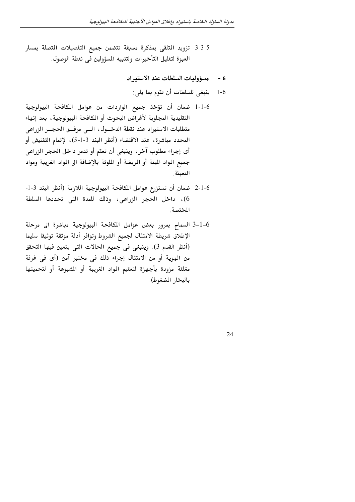- 5-3-3 تزويد المتلقى بمذكرة مسبقة تتضمن جميع التفصيلات المتصلة بمسار العبوة لتقليل التأخيرات ولتنبيه المسؤولين في نقطة الوصول.
	- 6 مسؤوليات السلطات عند الاستيراد
		- ينبغي للسلطات أن تقوم بما يلي:  $1-6$

- 1-1-6 ضمان أن تؤخذ جميع الواردات من عوامل المكافحة البيولوجية التقليدية المجلوبة لأغراض البحوث أو المكافحة البيولوجية ، بعد إنهاء .<br>متطلبات الاستيراد عند نقطة الدخــول، الــي مرفــق الحجــر الزراعي المحدد مباشرة، عند الاقتضاء (أنظر البند 3-1-5)، لإتمام التفتيش أو أي إجراء مطلوب آخر، وينبغي أن تعقم أو تدمر داخل الحجر الزراعي جميع المواد الميتة أو المريضة أو الملوثة بالإضافة الى المواد الغريبة ومواد التعىئة
- 6-1-2 ضمان أن تستزرع عوامل المكافحة البيولوجية اللازمة (أنظر البند 3-1-6)، داخل الحجر الزراعي، وذلك للمدة التي تحددها السلطة المختصة .
- 6–1–3 السماح بمرور بعض عوامل المكافحة البيولوجية مباشرة الى مرحلة الإطلاق شريطة الامتثال لجميع الشروط وتوافر أدلة موثقة توثيقا سليما (أنظر القسم 3). وينبغي في جميع الحالات التي يتعين فيها التحقق من الهوية أو من الامتثال إجراء ذلك في مختبر آمن (أى في غرفة مغلقة مزودة بأجهزة لتعقيم المواد الغريبة أو الشبوهة أو لتحميتها بالبخار المضغوط).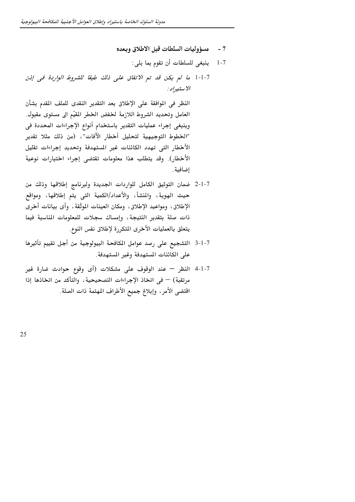- مسؤوليات السلطات قبل الاطلاق وبعده  $-7$ 
	- 7-1 ينبغي للسلطات أن تقوم بما بلي:
- 1-1-1 ما لم يكن قد تم الاتفاق على ذلك طبقا للشروط الواردة في إذن الاستيراد :

النظر في الموافقة على الإطلاق بعد التقدير النقدى للملف المقدم بشأن العامل وتحديد الشروط اللازمة لخفض الخطر المقيّم الى مستوى مقبول. وينبغي إجراء عمليات التقدير باستخدام أنواع الإجراءات المحددة في "الخطوط التوجيهية لتحليل أخطار الآفات"، (من ذلك مثلا تقدير الأخطار التي تهدد الكائنات غير المستهدفة وتحديد إجراءات تقليل الأخطار). وقد يتطلب هذا معلومات تقتضى إجراء اختبارات نوعية إضافية .

- 7-1-2 ضمان التوثيق الكامل للواردات الجديدة ولبرنامج إطلاقها وذلك من حيث الهوية، والمنشأ، والأعداد/الكمية التى يتم إطلاقها، ومواقع الإطلاق، ومواعيد الإطلاق، ومكان العينات الموثّقة، وأى بيانات أخرى ذات صلة بتقدير النتيجة، وإمساك سجلات للمعلومات المناسبة فيما يتعلق بالعمليات الأخرى المتكررة لإطلاق نفس النوع.
- 7-1-3 التشجيع على رصد عوامل المكافحة البيولوجية من أجل تقييم تأثيرها على الكائنات المستهدفة وغير المستهدفة.
- 7-1-4 النظر عند الوقوف على مشكلات (أى وقوع حوادث ضارة غير مرتقبة) — في اتخاذ الإجراءات التصحيحية، والتأكد من اتخاذها إذا اقتضى الأمر ، وإبلاغ جميع الأطراف المهتمة ذات الصلة.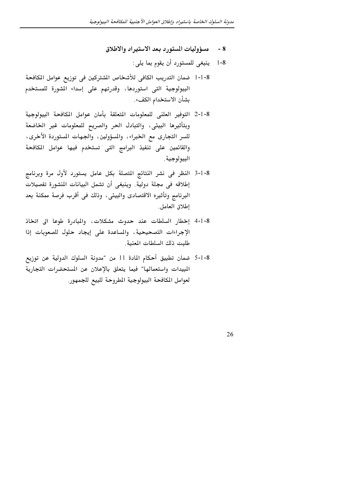- مسؤوليات المستورد بعد الاستيراد والاطلاق  $-8$ 
	- 8-1 ينبغي للمستورد أن يقوم بما يلي:
- 8-1-1٪ ضمان التدريب الكافي للأشخاص الشتركين في توزيع عوامل المكافحة البيولوجية التى استوردها، وقدرتهم على إسداء الشورة للمستخدم بشأن الاستخدام الكفء.
- 8-1-2 التوفير العلني للمعلومات المتعلقة بأمان عوامل المكافحة البيولوجية وبتأثيرها البيئى، والتبادل الحر والصريح للمعلومات غير الخاضعة للسر التجارى مع الخبراء، والمسؤولين، والجهات المستوردة الأخرى، والقائمين على تنفيذ البرامج التى تستخدم فيها عوامل المكافحة البيولوجية .
- 8-1-3 النظر في نشر النتائج المتصلة بكل عامل يستورد لأول مرة وبرنامج إطلاقه في مجلة دولية. وينبغي أن تشمل البيانات المنشورة تفصيلات البرنامج وتأثيره الاقتصادي والبيئي، وذلك في أقرب فرصة ممكنة بعد إطلاق العامل.
- 8-1-4 إخطار السلطات عند حدوث مشكلات، والمبادرة طوعا الى اتخاذ الإجراءات التصحيحية، والمساعدة على إيجاد حلول للصعوبات إذا طلبت ذلك السلطات المعنية.
- 8-1-5 ضمان تطبيق أحكام المادة 11 من ″مدونة السلوك الدولية عن توزيع المبيدات واستعمالها" فيما يتعلق بالإعلان عن المستحضرات التجارية لعوامل المكافحة البيولوجية المطروحة للبيع للجمهور.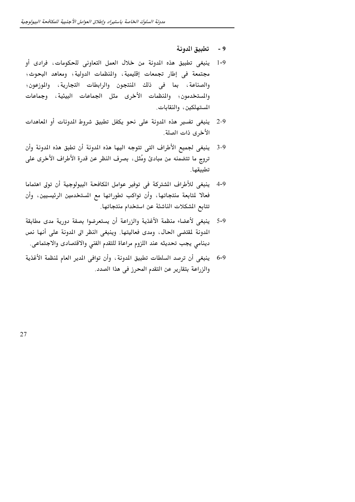- 9 تطبيق المدونة
- 1-9 ينبغي تطبيق هذه المدونة من خلال العمل التعاوني للحكومات، فرادى أو مجتمعة في إطار تجمعات إقليمية، والمنظمات الدولية؛ ومعاهد البحوث؛ والصناعة، بما في ذلك المنتجون والرابطات التجارية، والموزعون؛ والمستخدمون؛ والمنظمات الأخرى مثل الجماعات البيئية، وجماعات المستهلكين، والنقابات.
- ينبغي تفسير هذه الدونة على نحو يكفل تطبيق شروط المدونات أو المعاهدات 2.9 الأخرى ذات الصلة.
- ينبغي لجميع الأطراف التي تتوجه اليها هذه المدونة أن تطبق هذه المدونة وأن  $3 - 9$ تروج ما تتضمنه من مبادئ ومُثل، بصرف النظر عن قدرة الأطراف الأخرى على تطبيقها.
- 9-4 ينبغي للأطراف الشتركة في توفير عوامل المكافحة البيولوجية أن تولى اهتماما فعالا لمتابعة منتجاتها، وأن تواكب تطوراتها مع المستخدمين الرئيسيين، وأن تتابع المشكلات الناشئة عن استخدام منتجاتها.
- ينبغي لأعضاء منظمة الأغذية والزراعة أن يستعرضوا بصفة دورية مدى مطابقة  $5-9$ المدونة لمقتضى الحال، ومدى فعاليتها. وينبغي النظر الى المدونة على أنها نص دينامي يجب تحديثه عند اللزوم مراعاة للتقدم الفني والاقتصادى والاجتماعي.
- 6-9 ينبغي أن ترصد السلطات تطبيق المدونة ، وأن توافى المدير العام لمنظمة الأغذية والزراعة بتقارير عن التقدم المحرز في هذا الصدد.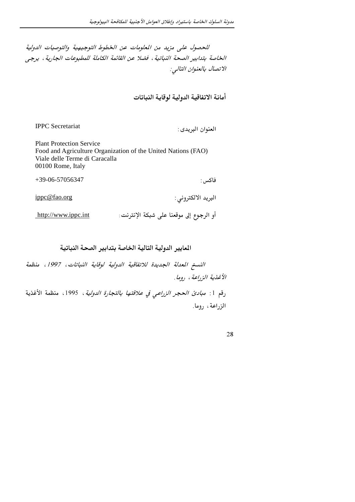للحصول على مزيد من المعلومات عن الخطوط التوجيهية والتوصيات الدولية الخاصة بتدابير الصحة النباتية ، فضلا عن القائمة الكاملة للمطبوعات الجارية ، يرجى الاتصال بالعنوان التالي:

أمانة الاتفاقية الدولية لوقاية النباتات

**IPPC** Secretariat

العنوان البريدي:

**Plant Protection Service** Food and Agriculture Organization of the United Nations (FAO) Viale delle Terme di Caracalla 00100 Rome, Italy

+39-06-57056347

فاكس :

البريد الالكتروني :

ippc@fao.org

أو الرجوع إلى موقعنا على شبكة الإنترنت: http://www.ippc.int

المايير الدولية التالية الخاصة بتدابير الصحة النباتية

النسخ المعدلة الجديدة للاتفاقية الدولية لوقاية النباتات، 1997، منظمة الأغذية الزراعة ، روما .

رقم 1: *مبادئ الحجر الزراعي في علاقتها بالتجارة الدولية* ، 1995، منظمة الأغذية الزراعة، روما.